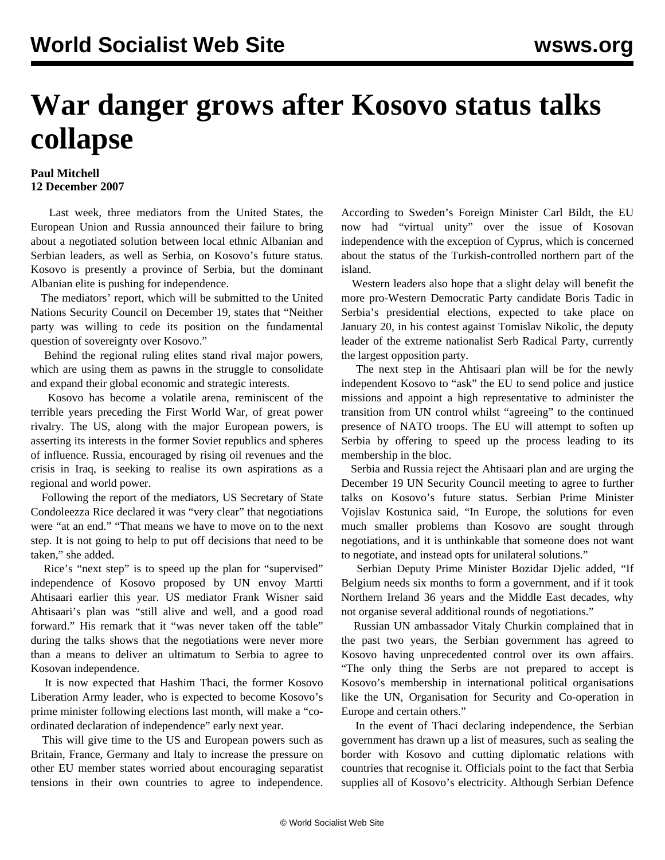## **War danger grows after Kosovo status talks collapse**

## **Paul Mitchell 12 December 2007**

 Last week, three mediators from the United States, the European Union and Russia announced their failure to bring about a negotiated solution between local ethnic Albanian and Serbian leaders, as well as Serbia, on Kosovo's future status. Kosovo is presently a province of Serbia, but the dominant Albanian elite is pushing for independence.

 The mediators' report, which will be submitted to the United Nations Security Council on December 19, states that "Neither party was willing to cede its position on the fundamental question of sovereignty over Kosovo."

 Behind the regional ruling elites stand rival major powers, which are using them as pawns in the struggle to consolidate and expand their global economic and strategic interests.

 Kosovo has become a volatile arena, reminiscent of the terrible years preceding the First World War, of great power rivalry. The US, along with the major European powers, is asserting its interests in the former Soviet republics and spheres of influence. Russia, encouraged by rising oil revenues and the crisis in Iraq, is seeking to realise its own aspirations as a regional and world power.

 Following the report of the mediators, US Secretary of State Condoleezza Rice declared it was "very clear" that negotiations were "at an end." "That means we have to move on to the next step. It is not going to help to put off decisions that need to be taken," she added.

 Rice's "next step" is to speed up the plan for "supervised" independence of Kosovo proposed by UN envoy Martti Ahtisaari earlier this year. US mediator Frank Wisner said Ahtisaari's plan was "still alive and well, and a good road forward." His remark that it "was never taken off the table" during the talks shows that the negotiations were never more than a means to deliver an ultimatum to Serbia to agree to Kosovan independence.

 It is now expected that Hashim Thaci, the former Kosovo Liberation Army leader, who is expected to become Kosovo's prime minister following elections last month, will make a "coordinated declaration of independence" early next year.

 This will give time to the US and European powers such as Britain, France, Germany and Italy to increase the pressure on other EU member states worried about encouraging separatist tensions in their own countries to agree to independence. According to Sweden's Foreign Minister Carl Bildt, the EU now had "virtual unity" over the issue of Kosovan independence with the exception of Cyprus, which is concerned about the status of the Turkish-controlled northern part of the island.

 Western leaders also hope that a slight delay will benefit the more pro-Western Democratic Party candidate Boris Tadic in Serbia's presidential elections, expected to take place on January 20, in his contest against Tomislav Nikolic, the deputy leader of the extreme nationalist Serb Radical Party, currently the largest opposition party.

 The next step in the Ahtisaari plan will be for the newly independent Kosovo to "ask" the EU to send police and justice missions and appoint a high representative to administer the transition from UN control whilst "agreeing" to the continued presence of NATO troops. The EU will attempt to soften up Serbia by offering to speed up the process leading to its membership in the bloc.

 Serbia and Russia reject the Ahtisaari plan and are urging the December 19 UN Security Council meeting to agree to further talks on Kosovo's future status. Serbian Prime Minister Vojislav Kostunica said, "In Europe, the solutions for even much smaller problems than Kosovo are sought through negotiations, and it is unthinkable that someone does not want to negotiate, and instead opts for unilateral solutions."

 Serbian Deputy Prime Minister Bozidar Djelic added, "If Belgium needs six months to form a government, and if it took Northern Ireland 36 years and the Middle East decades, why not organise several additional rounds of negotiations."

 Russian UN ambassador Vitaly Churkin complained that in the past two years, the Serbian government has agreed to Kosovo having unprecedented control over its own affairs. "The only thing the Serbs are not prepared to accept is Kosovo's membership in international political organisations like the UN, Organisation for Security and Co-operation in Europe and certain others."

 In the event of Thaci declaring independence, the Serbian government has drawn up a list of measures, such as sealing the border with Kosovo and cutting diplomatic relations with countries that recognise it. Officials point to the fact that Serbia supplies all of Kosovo's electricity. Although Serbian Defence